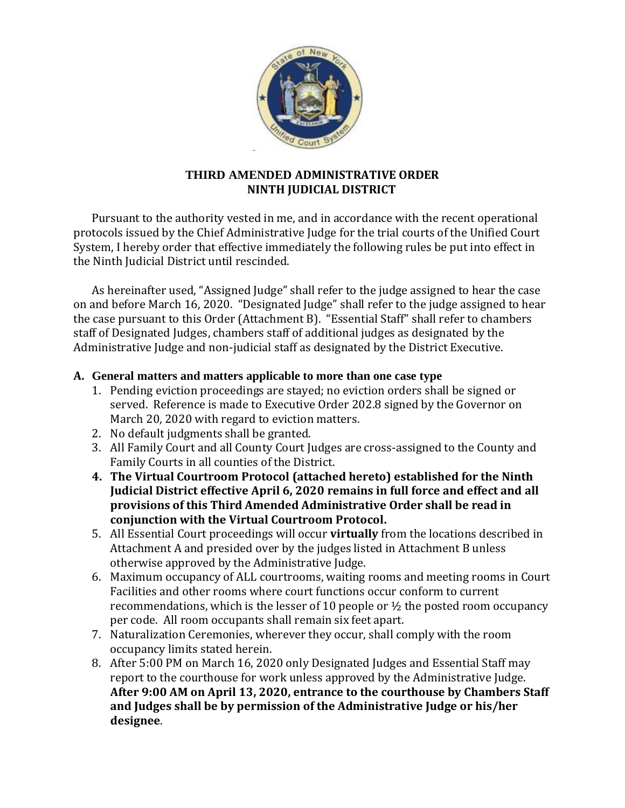

## **THIRD AMENDED ADMINISTRATIVE ORDER NINTH JUDICIAL DISTRICT**

Pursuant to the authority vested in me, and in accordance with the recent operational protocols issued by the Chief Administrative Judge for the trial courts of the Unified Court System, I hereby order that effective immediately the following rules be put into effect in the Ninth Judicial District until rescinded.

As hereinafter used, "Assigned Judge" shall refer to the judge assigned to hear the case on and before March 16, 2020. "Designated Judge" shall refer to the judge assigned to hear the case pursuant to this Order (Attachment B). "Essential Staff" shall refer to chambers staff of Designated Judges, chambers staff of additional judges as designated by the Administrative Judge and non-judicial staff as designated by the District Executive.

#### **A. General matters and matters applicable to more than one case type**

- 1. Pending eviction proceedings are stayed; no eviction orders shall be signed or served. Reference is made to Executive Order 202.8 signed by the Governor on March 20, 2020 with regard to eviction matters.
- 2. No default judgments shall be granted.
- 3. All Family Court and all County Court Judges are cross-assigned to the County and Family Courts in all counties of the District.
- **4. The Virtual Courtroom Protocol (attached hereto) established for the Ninth Judicial District effective April 6, 2020 remains in full force and effect and all provisions of this Third Amended Administrative Order shall be read in conjunction with the Virtual Courtroom Protocol.**
- 5. All Essential Court proceedings will occur **virtually** from the locations described in Attachment A and presided over by the judges listed in Attachment B unless otherwise approved by the Administrative Judge.
- 6. Maximum occupancy of ALL courtrooms, waiting rooms and meeting rooms in Court Facilities and other rooms where court functions occur conform to current recommendations, which is the lesser of 10 people or  $\frac{1}{2}$  the posted room occupancy per code. All room occupants shall remain six feet apart.
- 7. Naturalization Ceremonies, wherever they occur, shall comply with the room occupancy limits stated herein.
- 8. After 5:00 PM on March 16, 2020 only Designated Judges and Essential Staff may report to the courthouse for work unless approved by the Administrative Judge. **After 9:00 AM on April 13, 2020, entrance to the courthouse by Chambers Staff and Judges shall be by permission of the Administrative Judge or his/her designee**.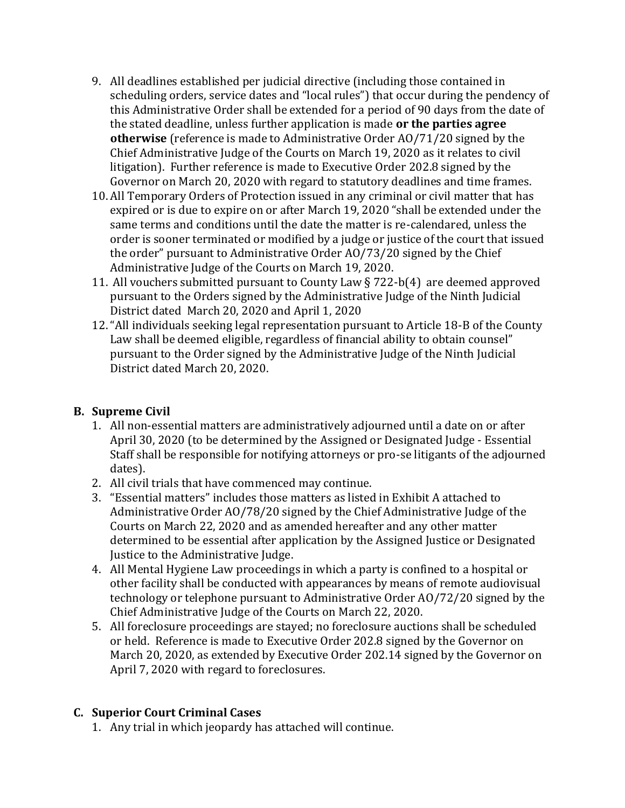- 9. All deadlines established per judicial directive (including those contained in scheduling orders, service dates and "local rules") that occur during the pendency of this Administrative Order shall be extended for a period of 90 days from the date of the stated deadline, unless further application is made **or the parties agree otherwise** (reference is made to Administrative Order AO/71/20 signed by the Chief Administrative Judge of the Courts on March 19, 2020 as it relates to civil litigation). Further reference is made to Executive Order 202.8 signed by the Governor on March 20, 2020 with regard to statutory deadlines and time frames.
- 10. All Temporary Orders of Protection issued in any criminal or civil matter that has expired or is due to expire on or after March 19, 2020 "shall be extended under the same terms and conditions until the date the matter is re-calendared, unless the order is sooner terminated or modified by a judge or justice of the court that issued the order" pursuant to Administrative Order AO/73/20 signed by the Chief Administrative Judge of the Courts on March 19, 2020.
- 11. All vouchers submitted pursuant to County Law § 722-b(4) are deemed approved pursuant to the Orders signed by the Administrative Judge of the Ninth Judicial District dated March 20, 2020 and April 1, 2020
- 12."All individuals seeking legal representation pursuant to Article 18-B of the County Law shall be deemed eligible, regardless of financial ability to obtain counsel" pursuant to the Order signed by the Administrative Judge of the Ninth Judicial District dated March 20, 2020.

## **B. Supreme Civil**

- 1. All non-essential matters are administratively adjourned until a date on or after April 30, 2020 (to be determined by the Assigned or Designated Judge - Essential Staff shall be responsible for notifying attorneys or pro-se litigants of the adjourned dates).
- 2. All civil trials that have commenced may continue.
- 3. "Essential matters" includes those matters as listed in Exhibit A attached to Administrative Order AO/78/20 signed by the Chief Administrative Judge of the Courts on March 22, 2020 and as amended hereafter and any other matter determined to be essential after application by the Assigned Justice or Designated Justice to the Administrative Judge.
- 4. All Mental Hygiene Law proceedings in which a party is confined to a hospital or other facility shall be conducted with appearances by means of remote audiovisual technology or telephone pursuant to Administrative Order AO/72/20 signed by the Chief Administrative Judge of the Courts on March 22, 2020.
- 5. All foreclosure proceedings are stayed; no foreclosure auctions shall be scheduled or held. Reference is made to Executive Order 202.8 signed by the Governor on March 20, 2020, as extended by Executive Order 202.14 signed by the Governor on April 7, 2020 with regard to foreclosures.

# **C. Superior Court Criminal Cases**

1. Any trial in which jeopardy has attached will continue.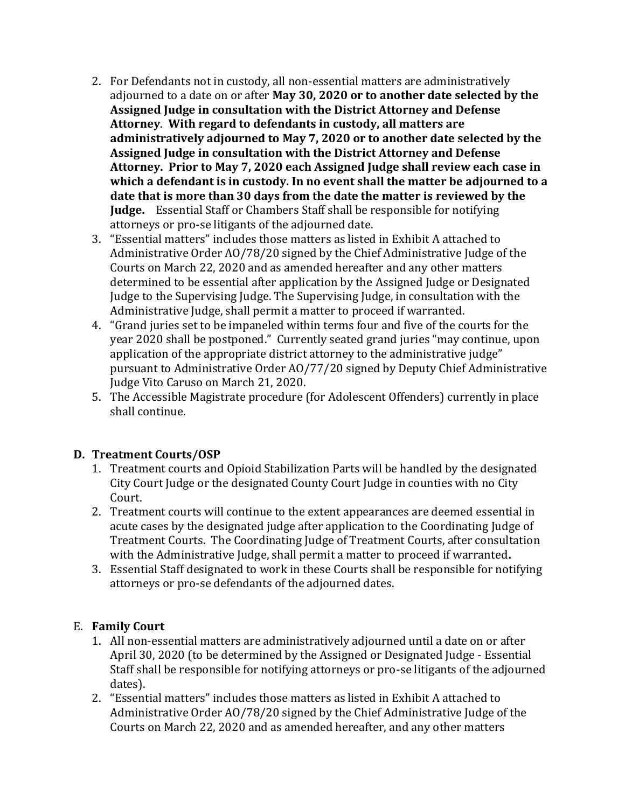- 2. For Defendants not in custody, all non-essential matters are administratively adjourned to a date on or after **May 30, 2020 or to another date selected by the Assigned Judge in consultation with the District Attorney and Defense Attorney**. **With regard to defendants in custody, all matters are administratively adjourned to May 7, 2020 or to another date selected by the Assigned Judge in consultation with the District Attorney and Defense Attorney. Prior to May 7, 2020 each Assigned Judge shall review each case in which a defendant is in custody. In no event shall the matter be adjourned to a date that is more than 30 days from the date the matter is reviewed by the Judge.** Essential Staff or Chambers Staff shall be responsible for notifying attorneys or pro-se litigants of the adjourned date.
- 3. "Essential matters" includes those matters as listed in Exhibit A attached to Administrative Order AO/78/20 signed by the Chief Administrative Judge of the Courts on March 22, 2020 and as amended hereafter and any other matters determined to be essential after application by the Assigned Judge or Designated Judge to the Supervising Judge. The Supervising Judge, in consultation with the Administrative Judge, shall permit a matter to proceed if warranted.
- 4. "Grand juries set to be impaneled within terms four and five of the courts for the year 2020 shall be postponed." Currently seated grand juries "may continue, upon application of the appropriate district attorney to the administrative judge" pursuant to Administrative Order AO/77/20 signed by Deputy Chief Administrative Judge Vito Caruso on March 21, 2020.
- 5. The Accessible Magistrate procedure (for Adolescent Offenders) currently in place shall continue.

## **D. Treatment Courts/OSP**

- 1. Treatment courts and Opioid Stabilization Parts will be handled by the designated City Court Judge or the designated County Court Judge in counties with no City Court.
- 2. Treatment courts will continue to the extent appearances are deemed essential in acute cases by the designated judge after application to the Coordinating Judge of Treatment Courts. The Coordinating Judge of Treatment Courts, after consultation with the Administrative Judge, shall permit a matter to proceed if warranted**.**
- 3. Essential Staff designated to work in these Courts shall be responsible for notifying attorneys or pro-se defendants of the adjourned dates.

#### E. **Family Court**

- 1. All non-essential matters are administratively adjourned until a date on or after April 30, 2020 (to be determined by the Assigned or Designated Judge - Essential Staff shall be responsible for notifying attorneys or pro-se litigants of the adjourned dates).
- 2. "Essential matters" includes those matters as listed in Exhibit A attached to Administrative Order AO/78/20 signed by the Chief Administrative Judge of the Courts on March 22, 2020 and as amended hereafter, and any other matters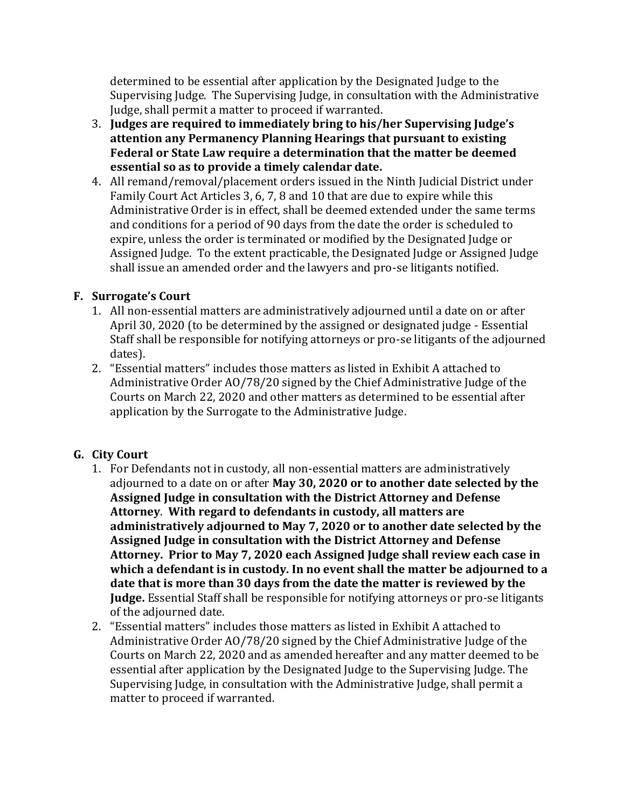determined to be essential after application by the Designated Judge to the Supervising Judge. The Supervising Judge, in consultation with the Administrative Judge, shall permit a matter to proceed if warranted.

- 3. **Judges are required to immediately bring to his/her Supervising Judge's attention any Permanency Planning Hearings that pursuant to existing Federal or State Law require a determination that the matter be deemed essential so as to provide a timely calendar date.**
- 4. All remand/removal/placement orders issued in the Ninth Judicial District under Family Court Act Articles 3, 6, 7, 8 and 10 that are due to expire while this Administrative Order is in effect, shall be deemed extended under the same terms and conditions for a period of 90 days from the date the order is scheduled to expire, unless the order is terminated or modified by the Designated Judge or Assigned Judge. To the extent practicable, the Designated Judge or Assigned Judge shall issue an amended order and the lawyers and pro-se litigants notified.

## **F. Surrogate's Court**

- 1. All non-essential matters are administratively adjourned until a date on or after April 30, 2020 (to be determined by the assigned or designated judge - Essential Staff shall be responsible for notifying attorneys or pro-se litigants of the adjourned dates).
- 2. "Essential matters" includes those matters as listed in Exhibit A attached to Administrative Order AO/78/20 signed by the Chief Administrative Judge of the Courts on March 22, 2020 and other matters as determined to be essential after application by the Surrogate to the Administrative Judge.

# **G. City Court**

- 1. For Defendants not in custody, all non-essential matters are administratively adjourned to a date on or after **May 30, 2020 or to another date selected by the Assigned Judge in consultation with the District Attorney and Defense Attorney**. **With regard to defendants in custody, all matters are administratively adjourned to May 7, 2020 or to another date selected by the Assigned Judge in consultation with the District Attorney and Defense Attorney. Prior to May 7, 2020 each Assigned Judge shall review each case in which a defendant is in custody. In no event shall the matter be adjourned to a date that is more than 30 days from the date the matter is reviewed by the Judge.** Essential Staff shall be responsible for notifying attorneys or pro-se litigants of the adjourned date.
- 2. "Essential matters" includes those matters as listed in Exhibit A attached to Administrative Order AO/78/20 signed by the Chief Administrative Judge of the Courts on March 22, 2020 and as amended hereafter and any matter deemed to be essential after application by the Designated Judge to the Supervising Judge. The Supervising Judge, in consultation with the Administrative Judge, shall permit a matter to proceed if warranted.